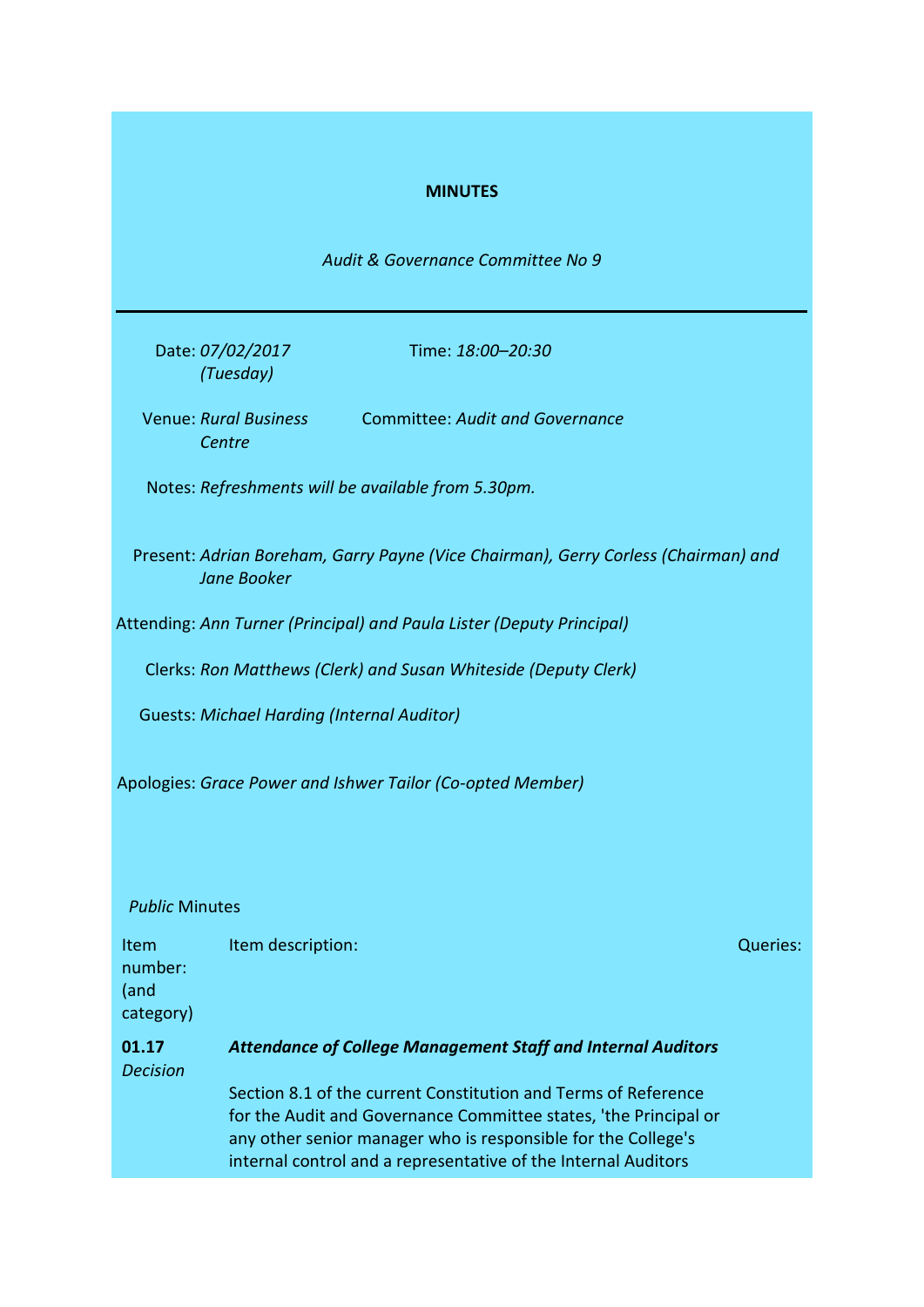## **MINUTES**

*Audit & Governance Committee No 9*

Date: *07/02/2017 (Tuesday)*

Time: *18:00–20:30*

Venue: *Rural Business*  Committee: *Audit and Governance Centre*

Notes: *Refreshments will be available from 5.30pm.*

Present: *Adrian Boreham, Garry Payne (Vice Chairman), Gerry Corless (Chairman) and Jane Booker*

Attending: *Ann Turner (Principal) and Paula Lister (Deputy Principal)*

Clerks: *Ron Matthews (Clerk) and Susan Whiteside (Deputy Clerk)*

Guests: *Michael Harding (Internal Auditor)*

Apologies: *Grace Power and Ishwer Tailor (Co-opted Member)*

### *Public* Minutes

Item number: (and category) **Item description:**  $Q$  and  $Q$  and  $Q$  and  $Q$  and  $Q$  and  $Q$  and  $Q$  and  $Q$  and  $Q$  and  $Q$  and  $Q$  and  $Q$  and  $Q$  and  $Q$  and  $Q$  and  $Q$  and  $Q$  and  $Q$  and  $Q$  and  $Q$  and  $Q$  and  $Q$  and  $Q$  and  $Q$  and  $Q$  and  $Q$ 

## **01.17** *Decision Attendance of College Management Staff and Internal Auditors* Section 8.1 of the current Constitution and Terms of Reference for the Audit and Governance Committee states, 'the Principal or any other senior manager who is responsible for the College's internal control and a representative of the Internal Auditors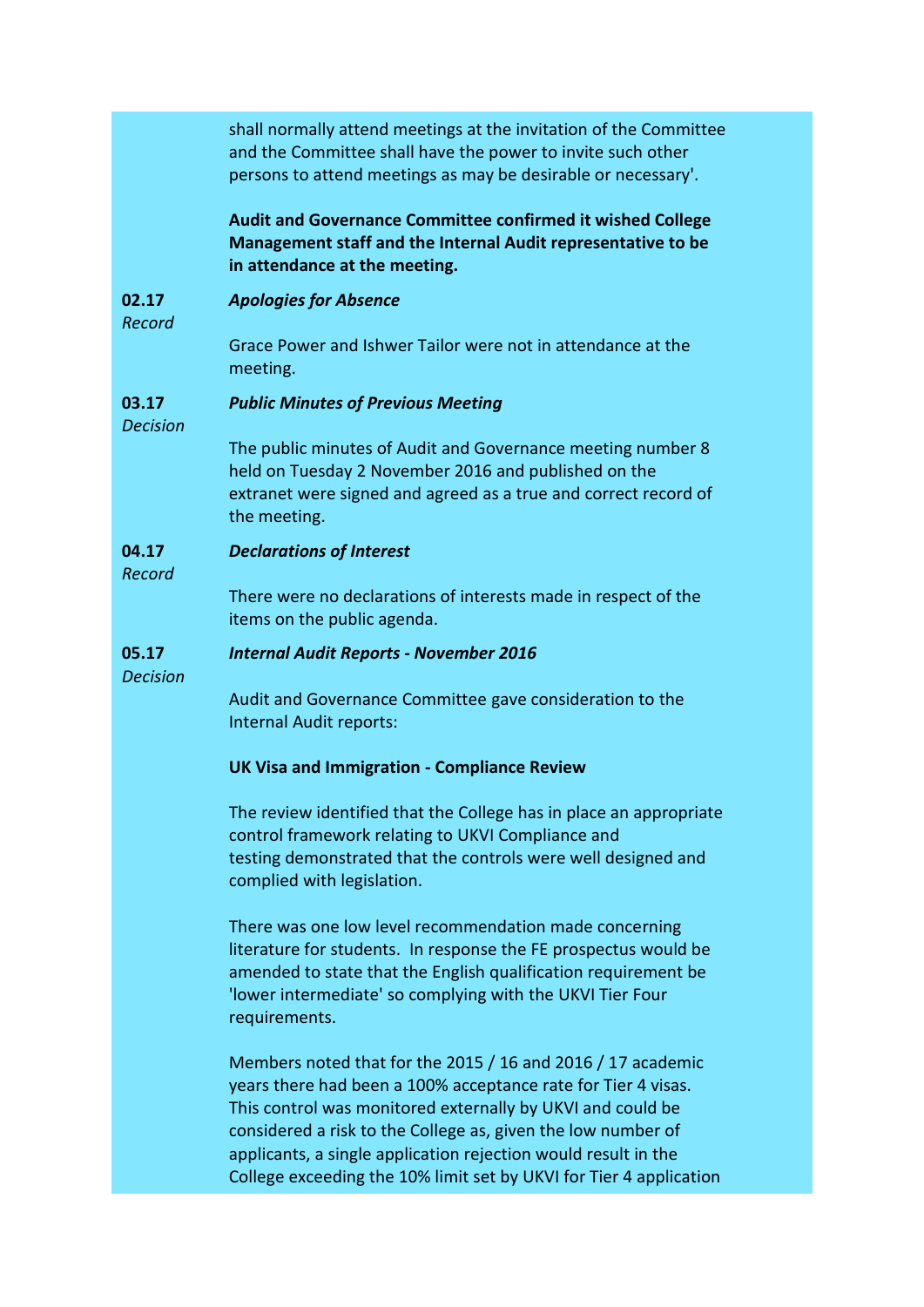shall normally attend meetings at the invitation of the Committee and the Committee shall have the power to invite such other persons to attend meetings as may be desirable or necessary'.

**Audit and Governance Committee confirmed it wished College Management staff and the Internal Audit representative to be in attendance at the meeting.**

#### **02.17** *Apologies for Absence*

*Record*

Grace Power and Ishwer Tailor were not in attendance at the meeting.

#### **03.17** *Public Minutes of Previous Meeting*

*Decision*

The public minutes of Audit and Governance meeting number 8 held on Tuesday 2 November 2016 and published on the extranet were signed and agreed as a true and correct record of the meeting.

#### **04.17** *Declarations of Interest*

*Record*

There were no declarations of interests made in respect of the items on the public agenda.

#### **05.17** *Internal Audit Reports - November 2016*

*Decision*

Audit and Governance Committee gave consideration to the Internal Audit reports:

### **UK Visa and Immigration - Compliance Review**

The review identified that the College has in place an appropriate control framework relating to UKVI Compliance and testing demonstrated that the controls were well designed and complied with legislation.

There was one low level recommendation made concerning literature for students. In response the FE prospectus would be amended to state that the English qualification requirement be 'lower intermediate' so complying with the UKVI Tier Four requirements.

Members noted that for the 2015 / 16 and 2016 / 17 academic years there had been a 100% acceptance rate for Tier 4 visas. This control was monitored externally by UKVI and could be considered a risk to the College as, given the low number of applicants, a single application rejection would result in the College exceeding the 10% limit set by UKVI for Tier 4 application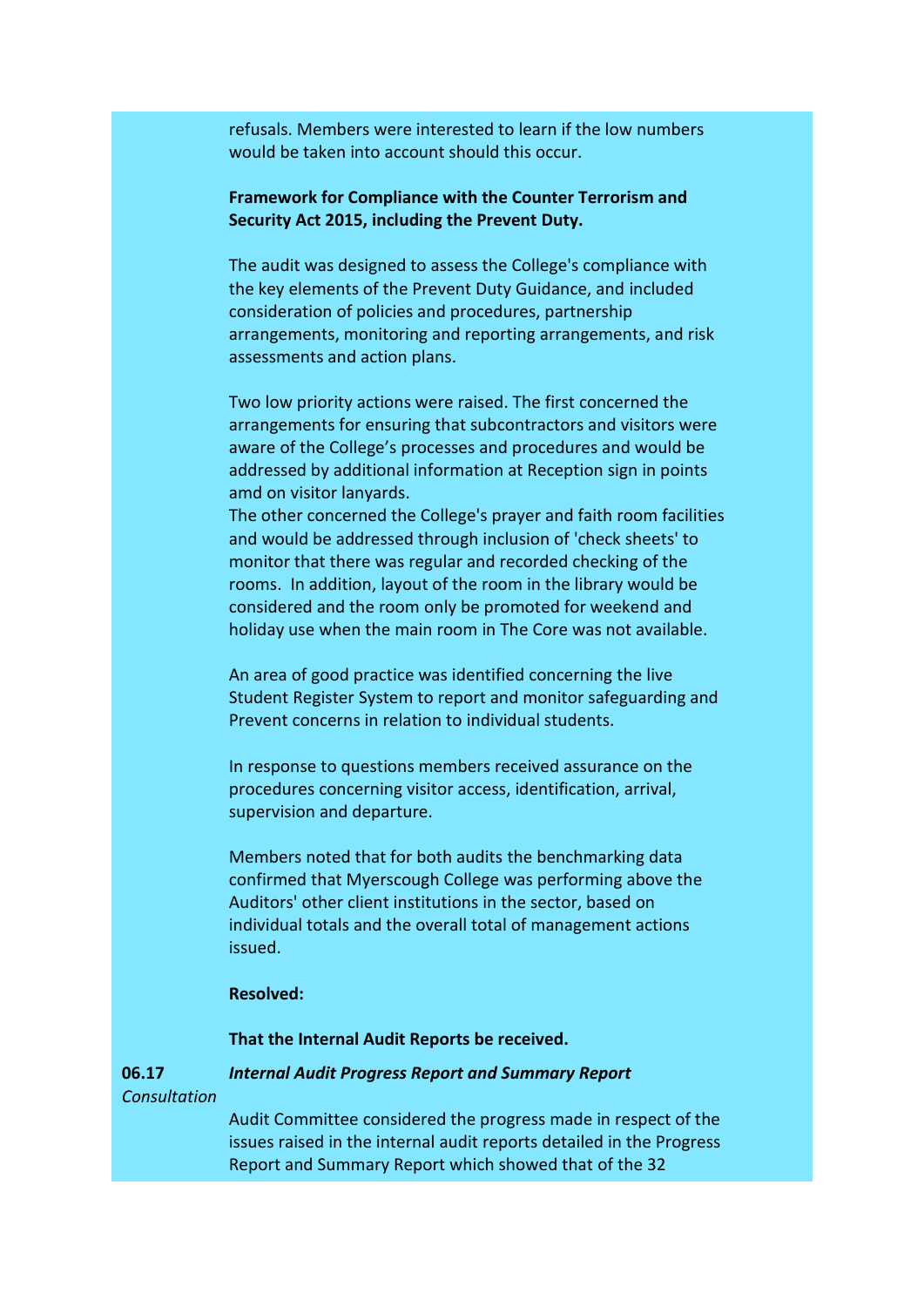refusals. Members were interested to learn if the low numbers would be taken into account should this occur.

# **Framework for Compliance with the Counter Terrorism and Security Act 2015, including the Prevent Duty.**

The audit was designed to assess the College's compliance with the key elements of the Prevent Duty Guidance, and included consideration of policies and procedures, partnership arrangements, monitoring and reporting arrangements, and risk assessments and action plans.

Two low priority actions were raised. The first concerned the arrangements for ensuring that subcontractors and visitors were aware of the College's processes and procedures and would be addressed by additional information at Reception sign in points amd on visitor lanyards.

The other concerned the College's prayer and faith room facilities and would be addressed through inclusion of 'check sheets' to monitor that there was regular and recorded checking of the rooms. In addition, layout of the room in the library would be considered and the room only be promoted for weekend and holiday use when the main room in The Core was not available.

An area of good practice was identified concerning the live Student Register System to report and monitor safeguarding and Prevent concerns in relation to individual students.

In response to questions members received assurance on the procedures concerning visitor access, identification, arrival, supervision and departure.

Members noted that for both audits the benchmarking data confirmed that Myerscough College was performing above the Auditors' other client institutions in the sector, based on individual totals and the overall total of management actions issued.

### **Resolved:**

**That the Internal Audit Reports be received.**

**06.17** *Consultation Internal Audit Progress Report and Summary Report*

> Audit Committee considered the progress made in respect of the issues raised in the internal audit reports detailed in the Progress Report and Summary Report which showed that of the 32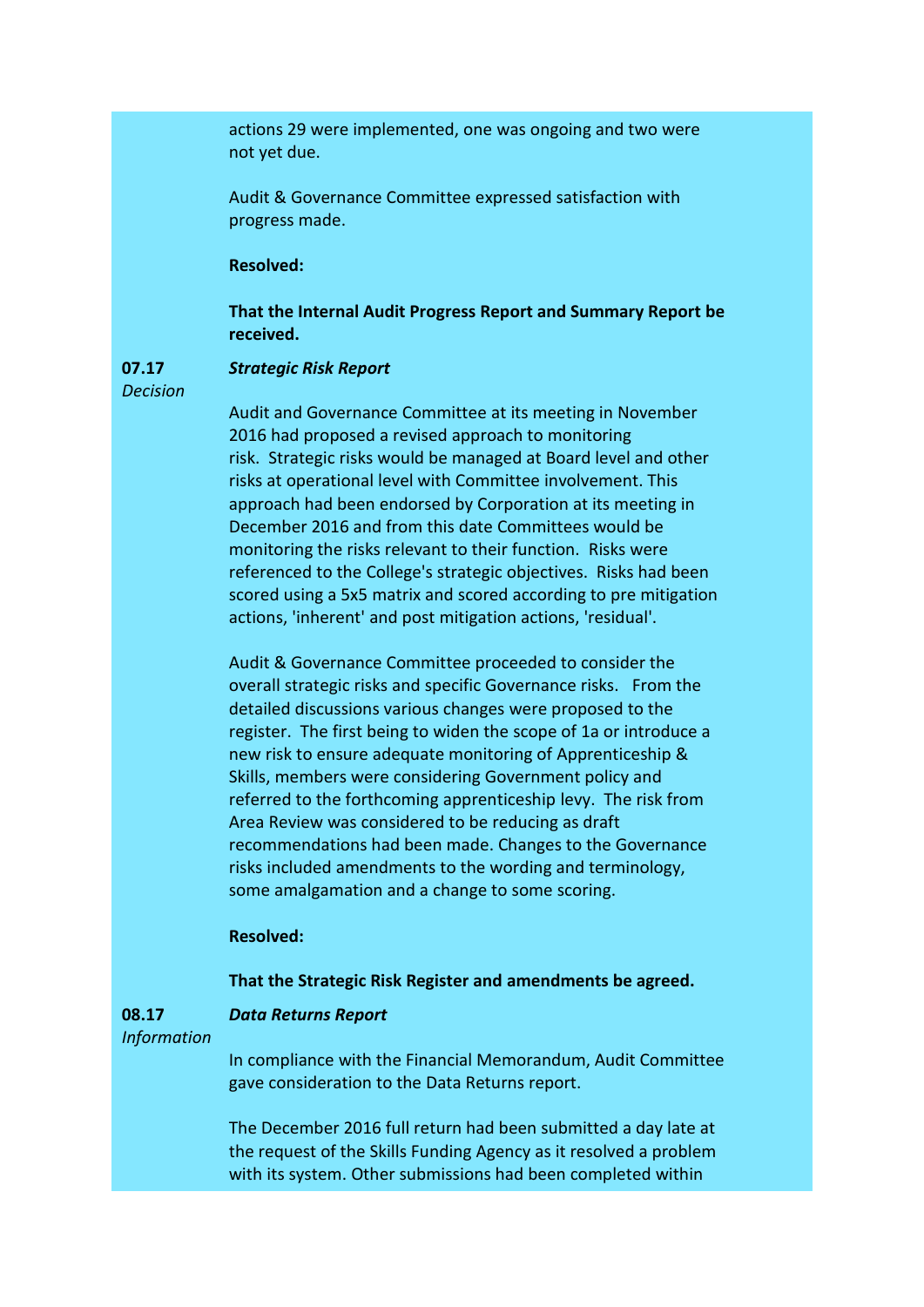actions 29 were implemented, one was ongoing and two were not yet due.

Audit & Governance Committee expressed satisfaction with progress made.

### **Resolved:**

### **That the Internal Audit Progress Report and Summary Report be received.**

#### **07.17** *Strategic Risk Report*

*Decision*

Audit and Governance Committee at its meeting in November 2016 had proposed a revised approach to monitoring risk. Strategic risks would be managed at Board level and other risks at operational level with Committee involvement. This approach had been endorsed by Corporation at its meeting in December 2016 and from this date Committees would be monitoring the risks relevant to their function. Risks were referenced to the College's strategic objectives. Risks had been scored using a 5x5 matrix and scored according to pre mitigation actions, 'inherent' and post mitigation actions, 'residual'.

Audit & Governance Committee proceeded to consider the overall strategic risks and specific Governance risks. From the detailed discussions various changes were proposed to the register. The first being to widen the scope of 1a or introduce a new risk to ensure adequate monitoring of Apprenticeship & Skills, members were considering Government policy and referred to the forthcoming apprenticeship levy. The risk from Area Review was considered to be reducing as draft recommendations had been made. Changes to the Governance risks included amendments to the wording and terminology, some amalgamation and a change to some scoring.

## **Resolved:**

## **That the Strategic Risk Register and amendments be agreed.**

#### *Data Returns Report*

*Information*

**08.17**

In compliance with the Financial Memorandum, Audit Committee gave consideration to the Data Returns report.

The December 2016 full return had been submitted a day late at the request of the Skills Funding Agency as it resolved a problem with its system. Other submissions had been completed within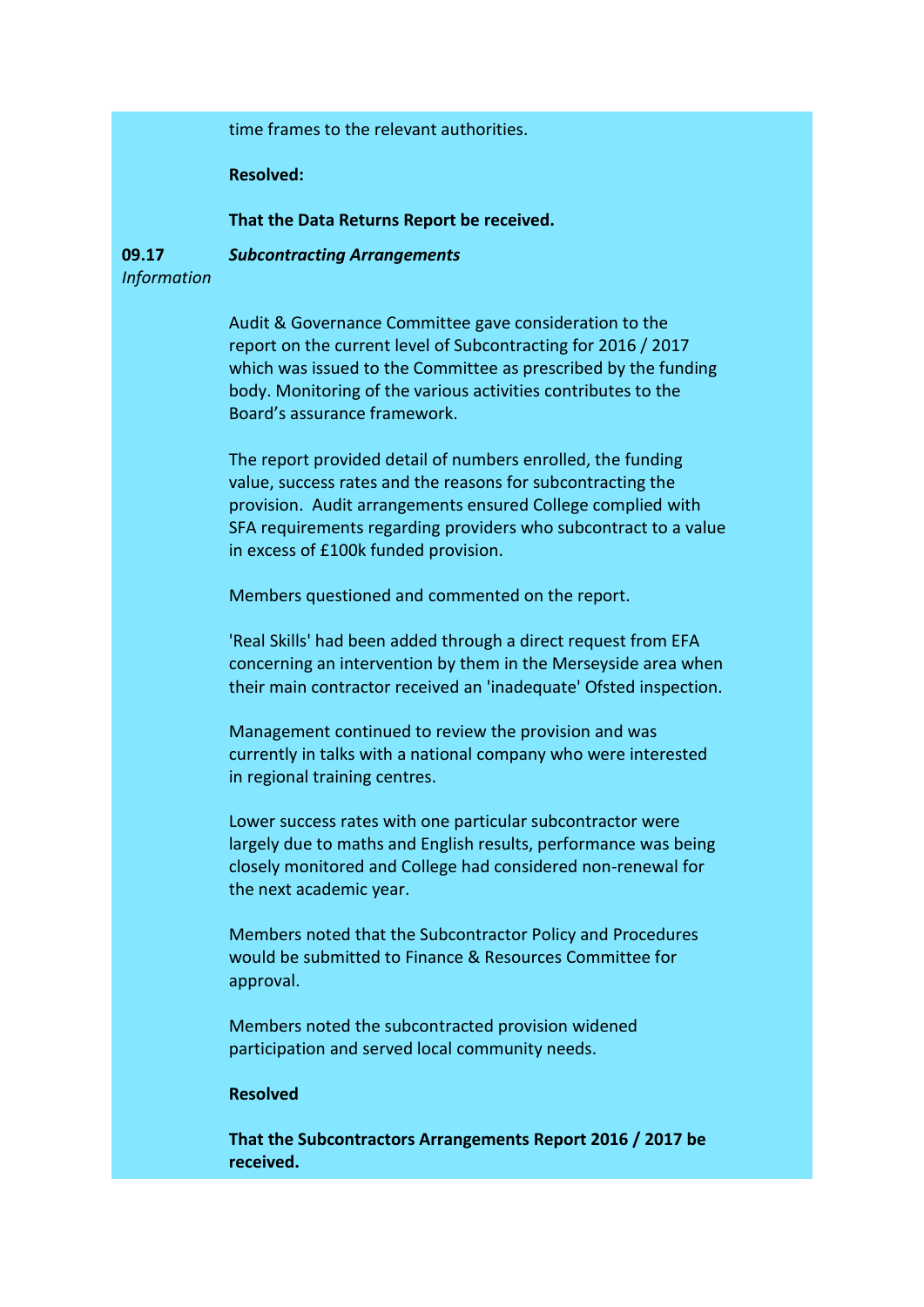time frames to the relevant authorities.

**Resolved:**

**That the Data Returns Report be received.**

**09.17** *Information Subcontracting Arrangements*

> Audit & Governance Committee gave consideration to the report on the current level of Subcontracting for 2016 / 2017 which was issued to the Committee as prescribed by the funding body. Monitoring of the various activities contributes to the Board's assurance framework.

The report provided detail of numbers enrolled, the funding value, success rates and the reasons for subcontracting the provision. Audit arrangements ensured College complied with SFA requirements regarding providers who subcontract to a value in excess of £100k funded provision.

Members questioned and commented on the report.

'Real Skills' had been added through a direct request from EFA concerning an intervention by them in the Merseyside area when their main contractor received an 'inadequate' Ofsted inspection.

Management continued to review the provision and was currently in talks with a national company who were interested in regional training centres.

Lower success rates with one particular subcontractor were largely due to maths and English results, performance was being closely monitored and College had considered non-renewal for the next academic year.

Members noted that the Subcontractor Policy and Procedures would be submitted to Finance & Resources Committee for approval.

Members noted the subcontracted provision widened participation and served local community needs.

## **Resolved**

**That the Subcontractors Arrangements Report 2016 / 2017 be received.**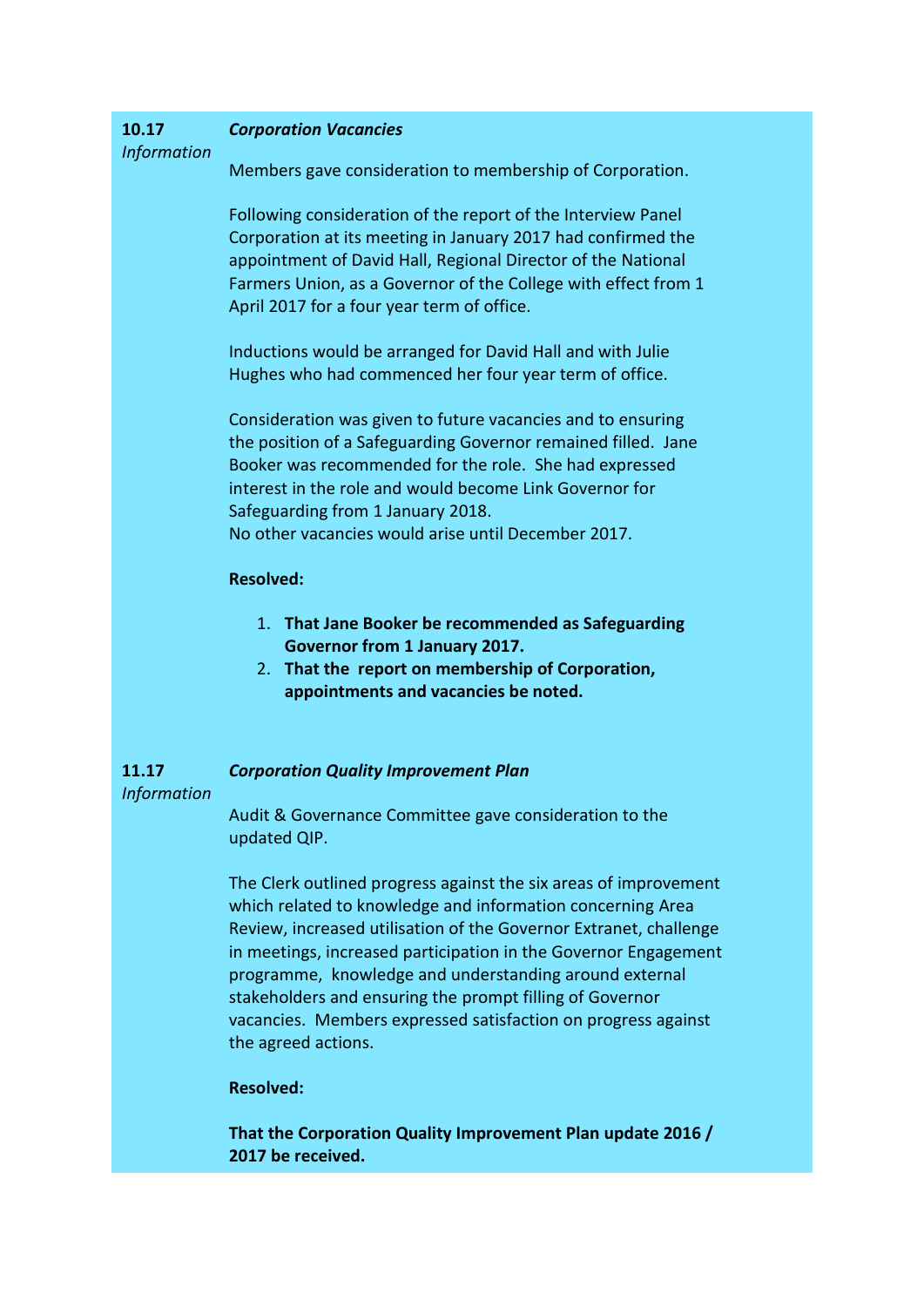| 10.17<br><b>Information</b> | <b>Corporation Vacancies</b>                                                                                                                                                                                                                                                                                                                                                                                                                                                         |
|-----------------------------|--------------------------------------------------------------------------------------------------------------------------------------------------------------------------------------------------------------------------------------------------------------------------------------------------------------------------------------------------------------------------------------------------------------------------------------------------------------------------------------|
|                             | Members gave consideration to membership of Corporation.                                                                                                                                                                                                                                                                                                                                                                                                                             |
|                             | Following consideration of the report of the Interview Panel<br>Corporation at its meeting in January 2017 had confirmed the<br>appointment of David Hall, Regional Director of the National<br>Farmers Union, as a Governor of the College with effect from 1<br>April 2017 for a four year term of office.                                                                                                                                                                         |
|                             | Inductions would be arranged for David Hall and with Julie<br>Hughes who had commenced her four year term of office.                                                                                                                                                                                                                                                                                                                                                                 |
|                             | Consideration was given to future vacancies and to ensuring<br>the position of a Safeguarding Governor remained filled. Jane<br>Booker was recommended for the role. She had expressed<br>interest in the role and would become Link Governor for<br>Safeguarding from 1 January 2018.<br>No other vacancies would arise until December 2017.                                                                                                                                        |
|                             | <b>Resolved:</b>                                                                                                                                                                                                                                                                                                                                                                                                                                                                     |
|                             | 1. That Jane Booker be recommended as Safeguarding<br><b>Governor from 1 January 2017.</b><br>2. That the report on membership of Corporation,<br>appointments and vacancies be noted.                                                                                                                                                                                                                                                                                               |
| 11.17<br><b>Information</b> | <b>Corporation Quality Improvement Plan</b>                                                                                                                                                                                                                                                                                                                                                                                                                                          |
|                             | Audit & Governance Committee gave consideration to the<br>updated QIP.                                                                                                                                                                                                                                                                                                                                                                                                               |
|                             | The Clerk outlined progress against the six areas of improvement<br>which related to knowledge and information concerning Area<br>Review, increased utilisation of the Governor Extranet, challenge<br>in meetings, increased participation in the Governor Engagement<br>programme, knowledge and understanding around external<br>stakeholders and ensuring the prompt filling of Governor<br>vacancies. Members expressed satisfaction on progress against<br>the agreed actions. |
|                             | <b>Resolved:</b>                                                                                                                                                                                                                                                                                                                                                                                                                                                                     |
|                             |                                                                                                                                                                                                                                                                                                                                                                                                                                                                                      |

**That the Corporation Quality Improvement Plan update 2016 / 2017 be received.**